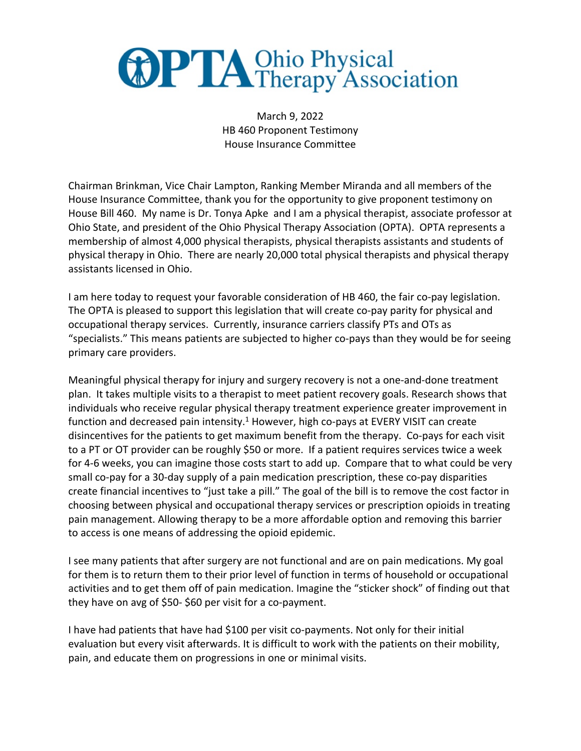

March 9, 2022 HB 460 Proponent Testimony House Insurance Committee

Chairman Brinkman, Vice Chair Lampton, Ranking Member Miranda and all members of the House Insurance Committee, thank you for the opportunity to give proponent testimony on House Bill 460. My name is Dr. Tonya Apke and I am a physical therapist, associate professor at Ohio State, and president of the Ohio Physical Therapy Association (OPTA). OPTA represents a membership of almost 4,000 physical therapists, physical therapists assistants and students of physical therapy in Ohio. There are nearly 20,000 total physical therapists and physical therapy assistants licensed in Ohio.

I am here today to request your favorable consideration of HB 460, the fair co-pay legislation. The OPTA is pleased to support this legislation that will create co-pay parity for physical and occupational therapy services. Currently, insurance carriers classify PTs and OTs as "specialists." This means patients are subjected to higher co-pays than they would be for seeing primary care providers.

Meaningful physical therapy for injury and surgery recovery is not a one-and-done treatment plan. It takes multiple visits to a therapist to meet patient recovery goals. Research shows that individuals who receive regular physical therapy treatment experience greater improvement in function and decreased pain intensity.<sup>1</sup> However, high co-pays at EVERY VISIT can create disincentives for the patients to get maximum benefit from the therapy. Co-pays for each visit to a PT or OT provider can be roughly \$50 or more. If a patient requires services twice a week for 4-6 weeks, you can imagine those costs start to add up. Compare that to what could be very small co-pay for a 30-day supply of a pain medication prescription, these co-pay disparities create financial incentives to "just take a pill." The goal of the bill is to remove the cost factor in choosing between physical and occupational therapy services or prescription opioids in treating pain management. Allowing therapy to be a more affordable option and removing this barrier to access is one means of addressing the opioid epidemic.

I see many patients that after surgery are not functional and are on pain medications. My goal for them is to return them to their prior level of function in terms of household or occupational activities and to get them off of pain medication. Imagine the "sticker shock" of finding out that they have on avg of \$50- \$60 per visit for a co-payment.

I have had patients that have had \$100 per visit co-payments. Not only for their initial evaluation but every visit afterwards. It is difficult to work with the patients on their mobility, pain, and educate them on progressions in one or minimal visits.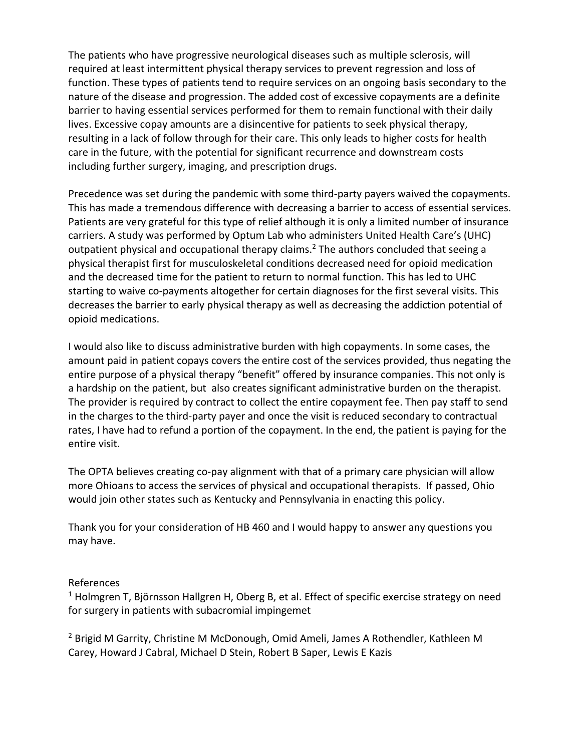The patients who have progressive neurological diseases such as multiple sclerosis, will required at least intermittent physical therapy services to prevent regression and loss of function. These types of patients tend to require services on an ongoing basis secondary to the nature of the disease and progression. The added cost of excessive copayments are a definite barrier to having essential services performed for them to remain functional with their daily lives. Excessive copay amounts are a disincentive for patients to seek physical therapy, resulting in a lack of follow through for their care. This only leads to higher costs for health care in the future, with the potential for significant recurrence and downstream costs including further surgery, imaging, and prescription drugs.

Precedence was set during the pandemic with some third-party payers waived the copayments. This has made a tremendous difference with decreasing a barrier to access of essential services. Patients are very grateful for this type of relief although it is only a limited number of insurance carriers. A study was performed by Optum Lab who administers United Health Care's (UHC) outpatient physical and occupational therapy claims.<sup>2</sup> The authors concluded that seeing a physical therapist first for musculoskeletal conditions decreased need for opioid medication and the decreased time for the patient to return to normal function. This has led to UHC starting to waive co-payments altogether for certain diagnoses for the first several visits. This decreases the barrier to early physical therapy as well as decreasing the addiction potential of opioid medications.

I would also like to discuss administrative burden with high copayments. In some cases, the amount paid in patient copays covers the entire cost of the services provided, thus negating the entire purpose of a physical therapy "benefit" offered by insurance companies. This not only is a hardship on the patient, but also creates significant administrative burden on the therapist. The provider is required by contract to collect the entire copayment fee. Then pay staff to send in the charges to the third-party payer and once the visit is reduced secondary to contractual rates, I have had to refund a portion of the copayment. In the end, the patient is paying for the entire visit.

The OPTA believes creating co-pay alignment with that of a primary care physician will allow more Ohioans to access the services of physical and occupational therapists. If passed, Ohio would join other states such as Kentucky and Pennsylvania in enacting this policy.

Thank you for your consideration of HB 460 and I would happy to answer any questions you may have.

## References

<sup>1</sup> Holmgren T, Björnsson Hallgren H, Oberg B, et al. Effect of specific exercise strategy on need for surgery in patients with subacromial impingemet

<sup>2</sup> Brigid M Garrity, Christine M McDonough, Omid Ameli, James A Rothendler, Kathleen M Carey, Howard J Cabral, Michael D Stein, Robert B Saper, Lewis E Kazis